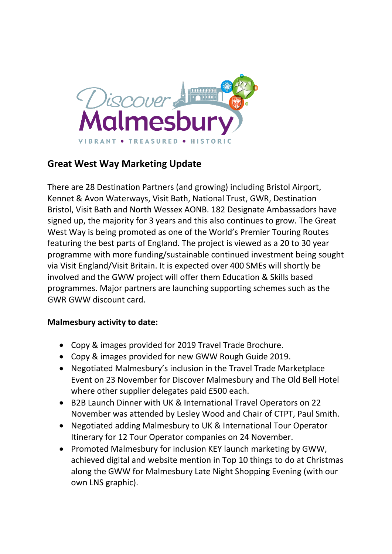

# **Great West Way Marketing Update**

There are 28 Destination Partners (and growing) including Bristol Airport, Kennet & Avon Waterways, Visit Bath, National Trust, GWR, Destination Bristol, Visit Bath and North Wessex AONB. 182 Designate Ambassadors have signed up, the majority for 3 years and this also continues to grow. The Great West Way is being promoted as one of the World's Premier Touring Routes featuring the best parts of England. The project is viewed as a 20 to 30 year programme with more funding/sustainable continued investment being sought via Visit England/Visit Britain. It is expected over 400 SMEs will shortly be involved and the GWW project will offer them Education & Skills based programmes. Major partners are launching supporting schemes such as the GWR GWW discount card.

### **Malmesbury activity to date:**

- Copy & images provided for 2019 Travel Trade Brochure.
- Copy & images provided for new GWW Rough Guide 2019.
- Negotiated Malmesbury's inclusion in the Travel Trade Marketplace Event on 23 November for Discover Malmesbury and The Old Bell Hotel where other supplier delegates paid £500 each.
- B2B Launch Dinner with UK & International Travel Operators on 22 November was attended by Lesley Wood and Chair of CTPT, Paul Smith.
- Negotiated adding Malmesbury to UK & International Tour Operator Itinerary for 12 Tour Operator companies on 24 November.
- Promoted Malmesbury for inclusion KEY launch marketing by GWW, achieved digital and website mention in Top 10 things to do at Christmas along the GWW for Malmesbury Late Night Shopping Evening (with our own LNS graphic).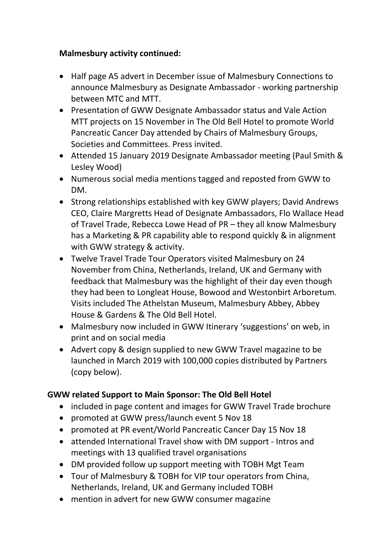## **Malmesbury activity continued:**

- Half page A5 advert in December issue of Malmesbury Connections to announce Malmesbury as Designate Ambassador - working partnership between MTC and MTT.
- Presentation of GWW Designate Ambassador status and Vale Action MTT projects on 15 November in The Old Bell Hotel to promote World Pancreatic Cancer Day attended by Chairs of Malmesbury Groups, Societies and Committees. Press invited.
- Attended 15 January 2019 Designate Ambassador meeting (Paul Smith & Lesley Wood)
- Numerous social media mentions tagged and reposted from GWW to DM.
- Strong relationships established with key GWW players; David Andrews CEO, Claire Margretts Head of Designate Ambassadors, Flo Wallace Head of Travel Trade, Rebecca Lowe Head of PR – they all know Malmesbury has a Marketing & PR capability able to respond quickly & in alignment with GWW strategy & activity.
- Twelve Travel Trade Tour Operators visited Malmesbury on 24 November from China, Netherlands, Ireland, UK and Germany with feedback that Malmesbury was the highlight of their day even though they had been to Longleat House, Bowood and Westonbirt Arboretum. Visits included The Athelstan Museum, Malmesbury Abbey, Abbey House & Gardens & The Old Bell Hotel.
- Malmesbury now included in GWW Itinerary 'suggestions' on web, in print and on social media
- Advert copy & design supplied to new GWW Travel magazine to be launched in March 2019 with 100,000 copies distributed by Partners (copy below).

## **GWW related Support to Main Sponsor: The Old Bell Hotel**

- included in page content and images for GWW Travel Trade brochure
- promoted at GWW press/launch event 5 Nov 18
- promoted at PR event/World Pancreatic Cancer Day 15 Nov 18
- attended International Travel show with DM support Intros and meetings with 13 qualified travel organisations
- DM provided follow up support meeting with TOBH Mgt Team
- Tour of Malmesbury & TOBH for VIP tour operators from China, Netherlands, Ireland, UK and Germany included TOBH
- mention in advert for new GWW consumer magazine